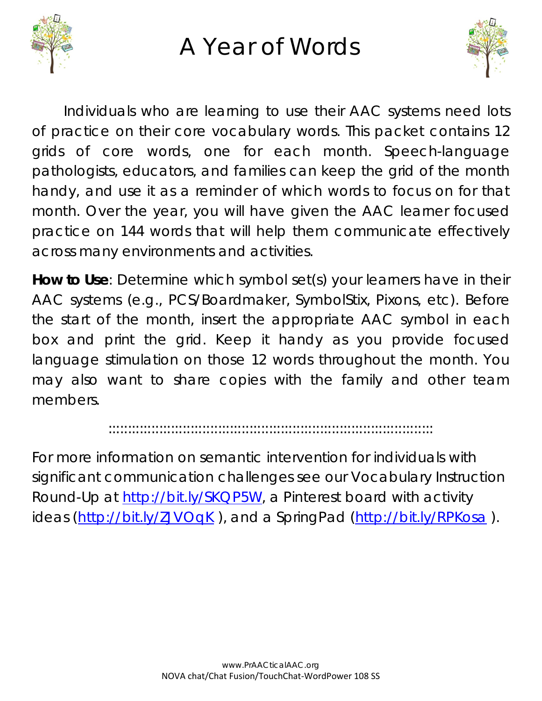

## A Year of Words



Individuals who are learning to use their AAC systems need lots of practice on their core vocabulary words. This packet contains 12 grids of core words, one for each month. Speech-language pathologists, educators, and families can keep the grid of the month handy, and use it as a reminder of which words to focus on for that month. Over the year, you will have given the AAC learner focused practice on 144 words that will help them communicate effectively across many environments and activities.

**How to Use**: Determine which symbol set(s) your learners have in their AAC systems (e.g., PCS/Boardmaker, SymbolStix, Pixons, etc). Before the start of the month, insert the appropriate AAC symbol in each box and print the grid. Keep it handy as you provide focused language stimulation on those 12 words throughout the month. You may also want to share copies with the family and other team members.

:::::::::::::::::::::::::::::::::::::::::::::::::::::::::::::::::::::::::::::::::::

For more information on semantic intervention for individuals with significant communication challenges see our Vocabulary Instruction Round-Up at [http://bit.ly/SKQP5W,](http://bit.ly/SKQP5W) a Pinterest board with activity ideas [\(http://bit.ly/ZJVOqK](http://bit.ly/ZJVOqK)), and a SpringPad [\(http://bit.ly/RPKosa](http://bit.ly/RPKosa)).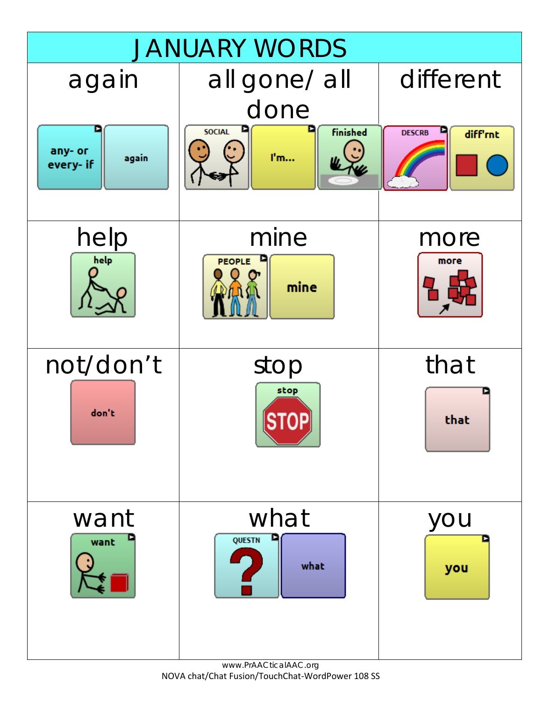

www.PrAACticalAAC.org NOVA chat/Chat Fusion/TouchChat-WordPower 108 SS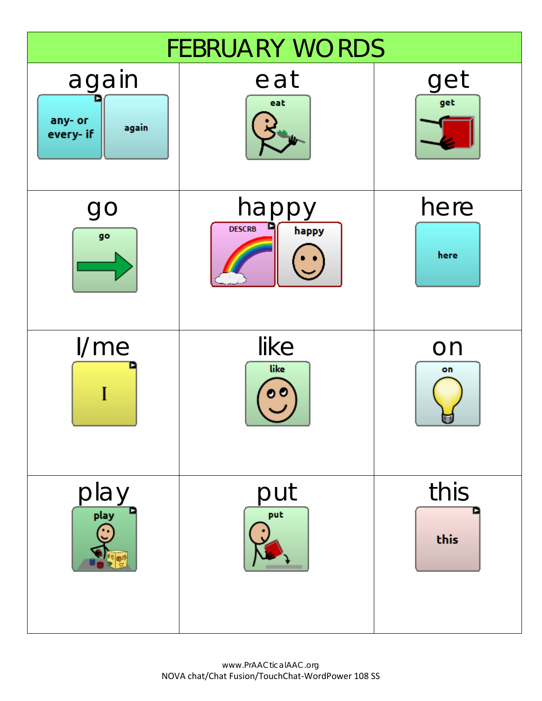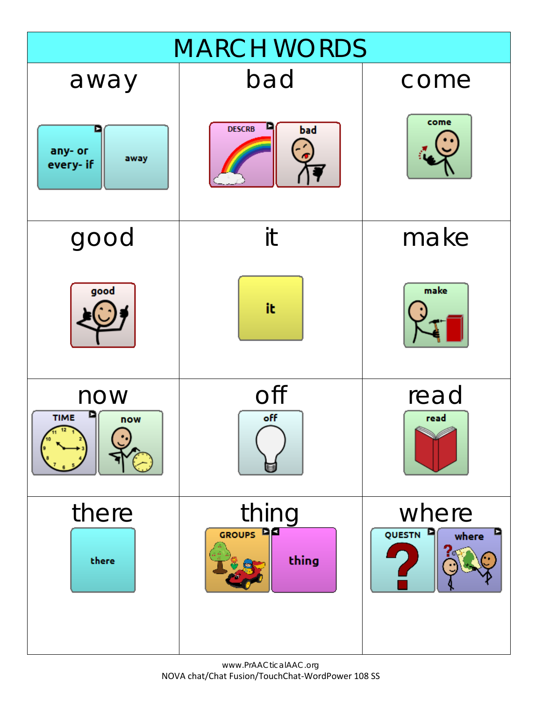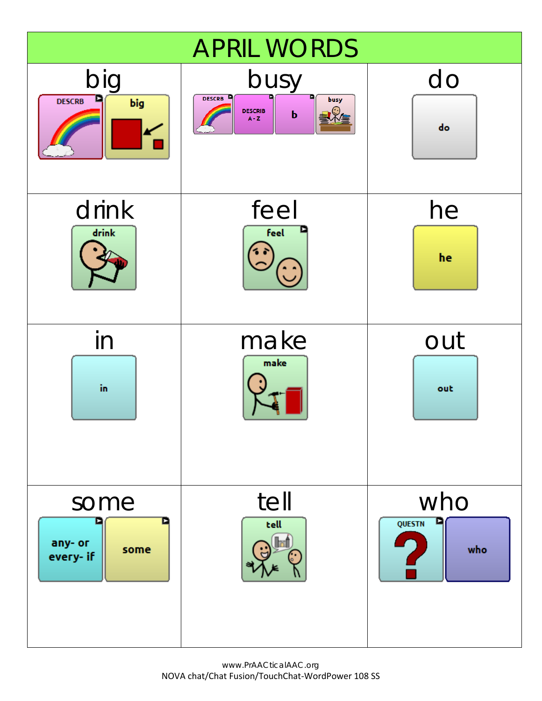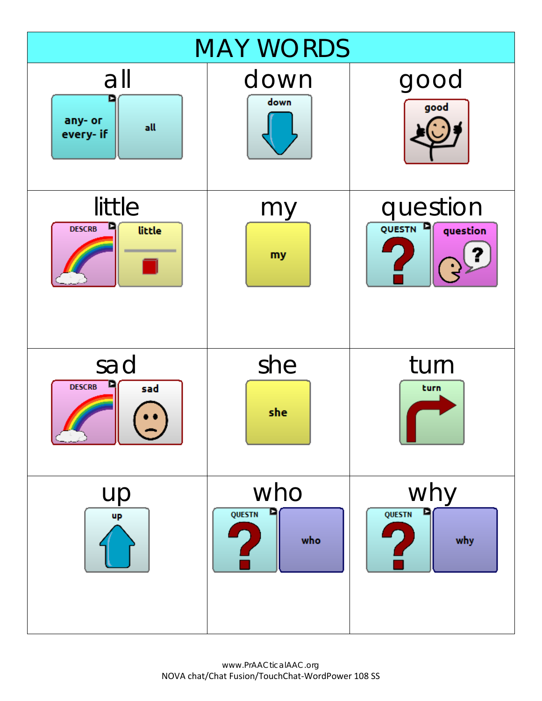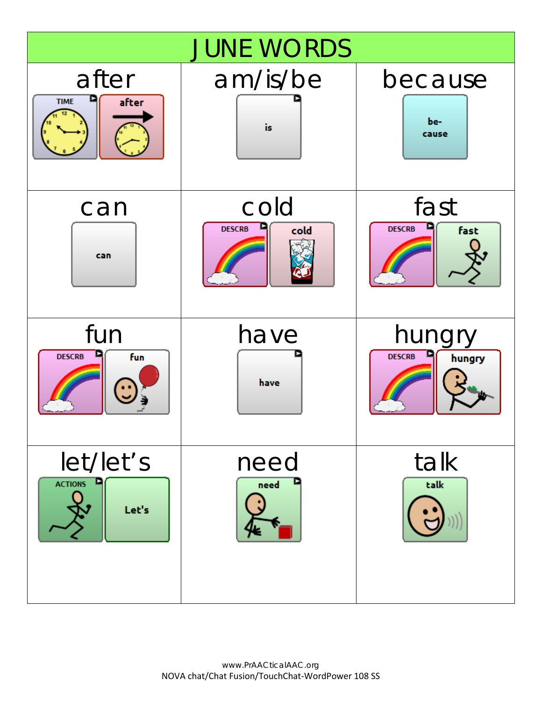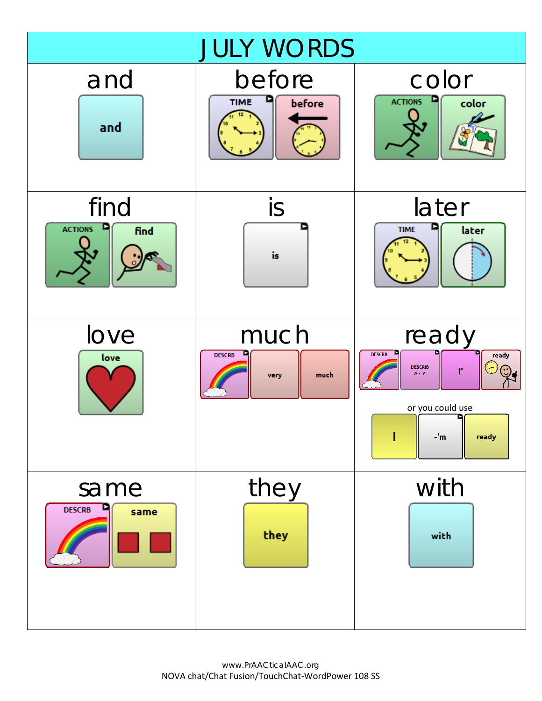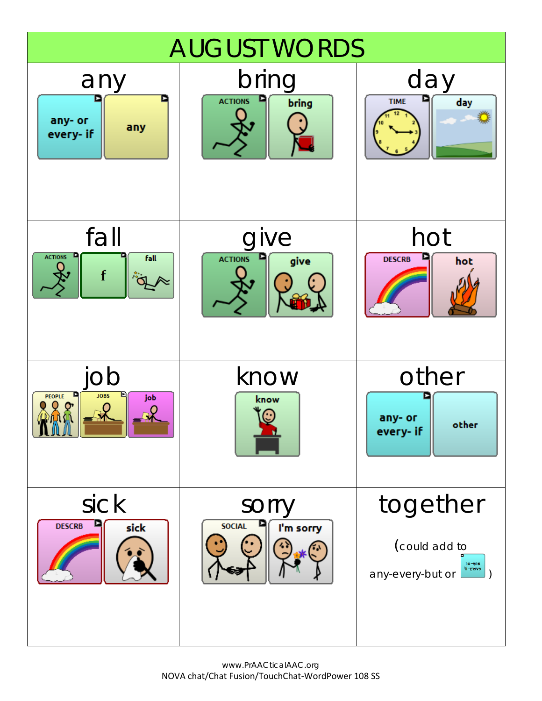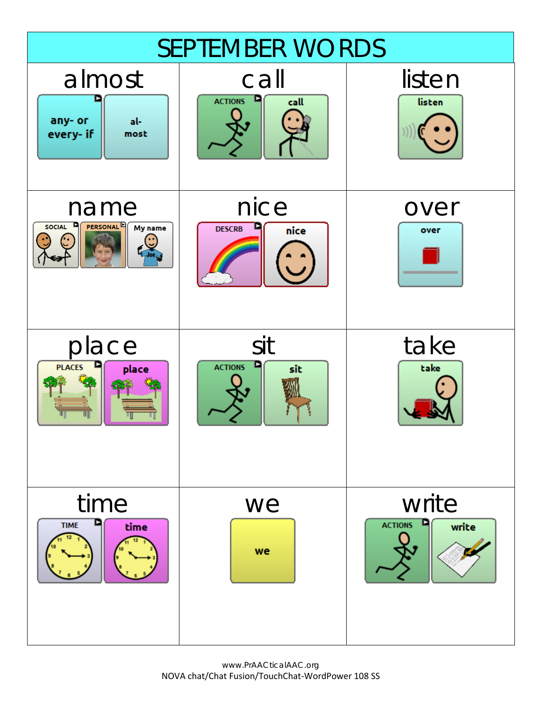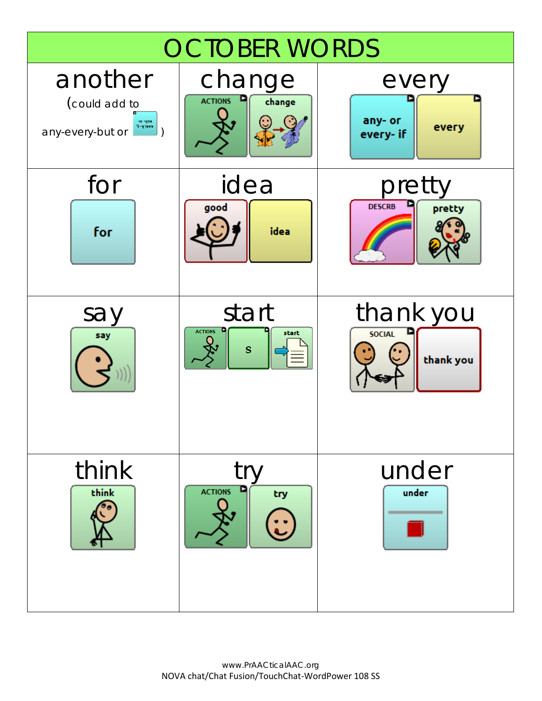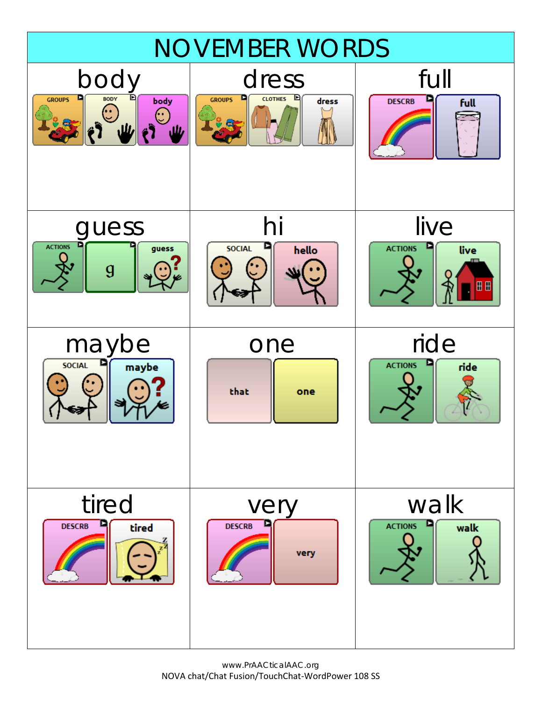